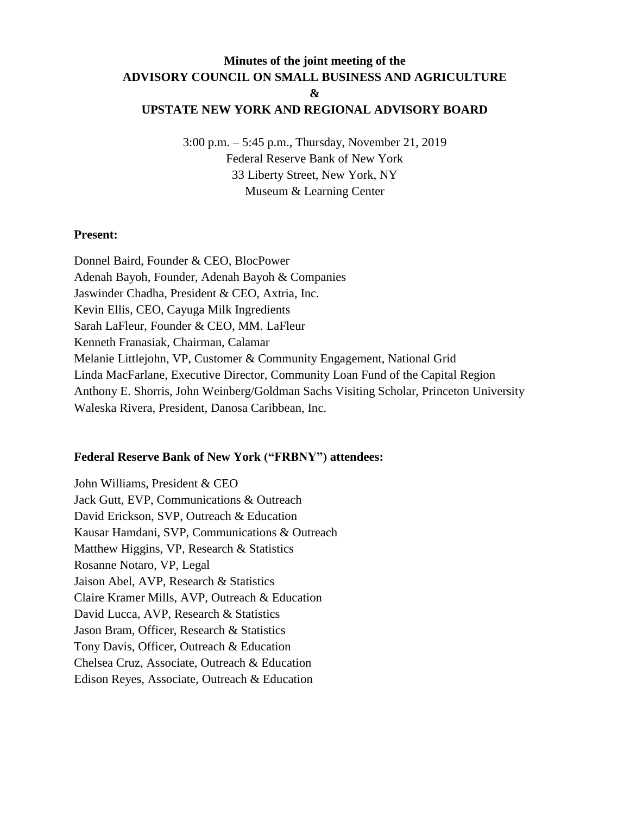# **Minutes of the joint meeting of the ADVISORY COUNCIL ON SMALL BUSINESS AND AGRICULTURE &**

# **UPSTATE NEW YORK AND REGIONAL ADVISORY BOARD**

3:00 p.m. – 5:45 p.m., Thursday, November 21, 2019 Federal Reserve Bank of New York 33 Liberty Street, New York, NY Museum & Learning Center

### **Present:**

Donnel Baird, Founder & CEO, BlocPower Adenah Bayoh, Founder, Adenah Bayoh & Companies Jaswinder Chadha, President & CEO, Axtria, Inc. Kevin Ellis, CEO, Cayuga Milk Ingredients Sarah LaFleur, Founder & CEO, MM. LaFleur Kenneth Franasiak, Chairman, Calamar Melanie Littlejohn, VP, Customer & Community Engagement, National Grid Linda MacFarlane, Executive Director, Community Loan Fund of the Capital Region Anthony E. Shorris, John Weinberg/Goldman Sachs Visiting Scholar, Princeton University Waleska Rivera, President, Danosa Caribbean, Inc.

## **Federal Reserve Bank of New York ("FRBNY") attendees:**

John Williams, President & CEO Jack Gutt, EVP, Communications & Outreach David Erickson, SVP, Outreach & Education Kausar Hamdani, SVP, Communications & Outreach Matthew Higgins, VP, Research & Statistics Rosanne Notaro, VP, Legal Jaison Abel, AVP, Research & Statistics Claire Kramer Mills, AVP, Outreach & Education David Lucca, AVP, Research & Statistics Jason Bram, Officer, Research & Statistics Tony Davis, Officer, Outreach & Education Chelsea Cruz, Associate, Outreach & Education Edison Reyes, Associate, Outreach & Education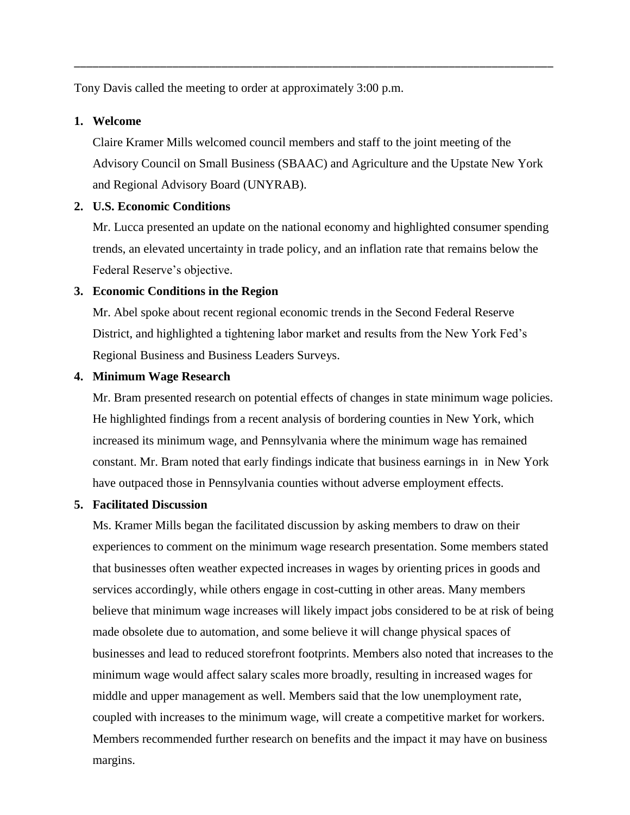Tony Davis called the meeting to order at approximately 3:00 p.m.

### **1. Welcome**

Claire Kramer Mills welcomed council members and staff to the joint meeting of the Advisory Council on Small Business (SBAAC) and Agriculture and the Upstate New York and Regional Advisory Board (UNYRAB).

\_\_\_\_\_\_\_\_\_\_\_\_\_\_\_\_\_\_\_\_\_\_\_\_\_\_\_\_\_\_\_\_\_\_\_\_\_\_\_\_\_\_\_\_\_\_\_\_\_\_\_\_\_\_\_\_\_\_\_\_\_\_\_\_\_\_\_\_\_\_\_\_\_\_\_\_\_\_

### **2. U.S. Economic Conditions**

Mr. Lucca presented an update on the national economy and highlighted consumer spending trends, an elevated uncertainty in trade policy, and an inflation rate that remains below the Federal Reserve's objective.

### **3. Economic Conditions in the Region**

Mr. Abel spoke about recent regional economic trends in the Second Federal Reserve District, and highlighted a tightening labor market and results from the New York Fed's Regional Business and Business Leaders Surveys.

### **4. Minimum Wage Research**

Mr. Bram presented research on potential effects of changes in state minimum wage policies. He highlighted findings from a recent analysis of bordering counties in New York, which increased its minimum wage, and Pennsylvania where the minimum wage has remained constant. Mr. Bram noted that early findings indicate that business earnings in in New York have outpaced those in Pennsylvania counties without adverse employment effects.

#### **5. Facilitated Discussion**

Ms. Kramer Mills began the facilitated discussion by asking members to draw on their experiences to comment on the minimum wage research presentation. Some members stated that businesses often weather expected increases in wages by orienting prices in goods and services accordingly, while others engage in cost-cutting in other areas. Many members believe that minimum wage increases will likely impact jobs considered to be at risk of being made obsolete due to automation, and some believe it will change physical spaces of businesses and lead to reduced storefront footprints. Members also noted that increases to the minimum wage would affect salary scales more broadly, resulting in increased wages for middle and upper management as well. Members said that the low unemployment rate, coupled with increases to the minimum wage, will create a competitive market for workers. Members recommended further research on benefits and the impact it may have on business margins.